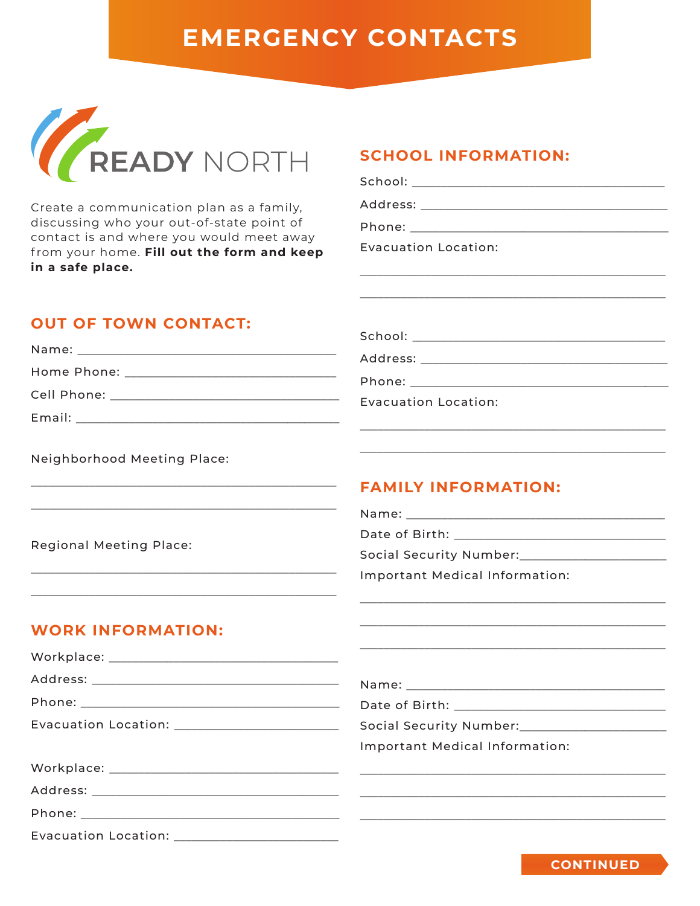# **EMERGENCY CONTACTS**



Create a communication plan as a family, discussing who your out-of-state point of contact is and where you would meet away from your home. Fill out the form and keep in a safe place.

### **SCHOOL INFORMATION:**

| Evacuation Location: |
|----------------------|
|                      |
|                      |
|                      |
|                      |
|                      |
|                      |

#### Evacuation Location:

### **OUT OF TOWN CONTACT:**

 $\ddot{\phantom{a}}$ 

| Name: Name                         |  |
|------------------------------------|--|
| Home Phone: The Mone of the Marine |  |
| Cell Phone: _____                  |  |
| Email:                             |  |

Neighborhood Meeting Place:

## **FAMILY INFORMATION:**

Date of Birth: **Social Security Number:** 

Important Medical Information:

#### **WORK INFORMATION:**

Evacuation Location:

**Regional Meeting Place:** 

| Evacuation Location: ________________________ | Social Security Number: _______________________ |
|-----------------------------------------------|-------------------------------------------------|
|                                               | Important Medical Information:                  |
|                                               |                                                 |
|                                               |                                                 |
|                                               |                                                 |

**CONTINUED**